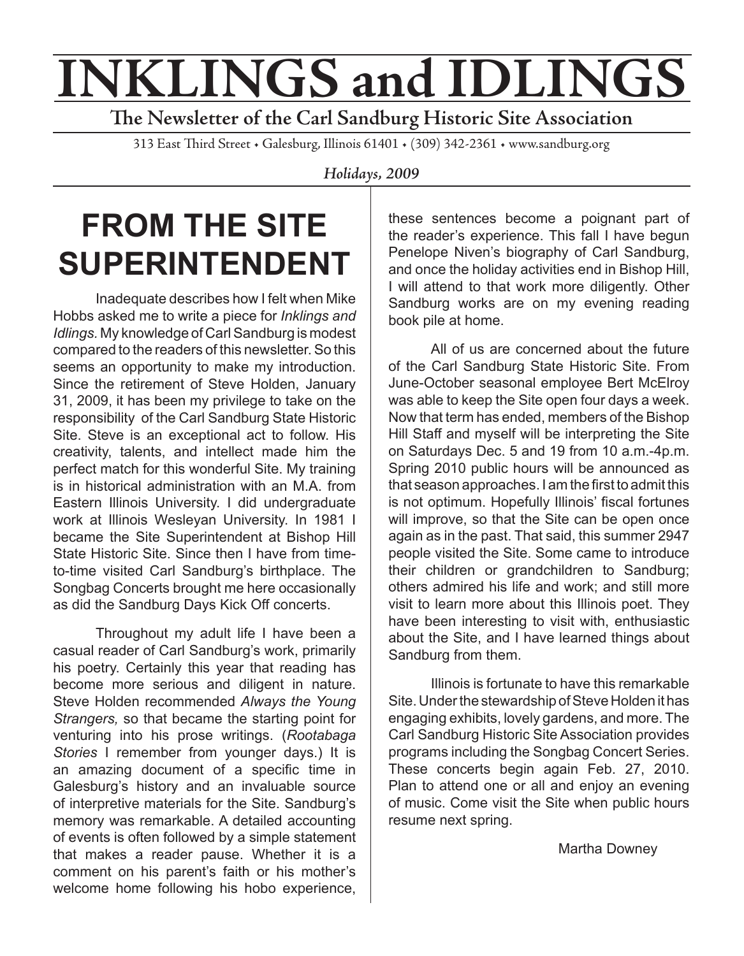# **INKLINGS and IDLINGS**

**The Newsletter of the Carl Sandburg Historic Site Association**

313 East Third Street • Galesburg, Illinois 61401 • (309) 342-2361 • www.sandburg.org

*Holidays, 2009*

## **FROM THE SITE SUPERINTENDENT**

Inadequate describes how I felt when Mike Hobbs asked me to write a piece for *Inklings and Idlings.* My knowledge of Carl Sandburg is modest compared to the readers of this newsletter. So this seems an opportunity to make my introduction. Since the retirement of Steve Holden, January 31, 2009, it has been my privilege to take on the responsibility of the Carl Sandburg State Historic Site. Steve is an exceptional act to follow. His creativity, talents, and intellect made him the perfect match for this wonderful Site. My training is in historical administration with an M.A. from Eastern Illinois University. I did undergraduate work at Illinois Wesleyan University. In 1981 I became the Site Superintendent at Bishop Hill State Historic Site. Since then I have from timeto-time visited Carl Sandburg's birthplace. The Songbag Concerts brought me here occasionally as did the Sandburg Days Kick Off concerts.

Throughout my adult life I have been a casual reader of Carl Sandburg's work, primarily his poetry. Certainly this year that reading has become more serious and diligent in nature. Steve Holden recommended *Always the Young Strangers,* so that became the starting point for venturing into his prose writings. (*Rootabaga Stories* I remember from younger days.) It is an amazing document of a specific time in Galesburg's history and an invaluable source of interpretive materials for the Site. Sandburg's memory was remarkable. A detailed accounting of events is often followed by a simple statement that makes a reader pause. Whether it is a comment on his parent's faith or his mother's welcome home following his hobo experience,

these sentences become a poignant part of the reader's experience. This fall I have begun Penelope Niven's biography of Carl Sandburg, and once the holiday activities end in Bishop Hill, I will attend to that work more diligently. Other Sandburg works are on my evening reading book pile at home.

All of us are concerned about the future of the Carl Sandburg State Historic Site. From June-October seasonal employee Bert McElroy was able to keep the Site open four days a week. Now that term has ended, members of the Bishop Hill Staff and myself will be interpreting the Site on Saturdays Dec. 5 and 19 from 10 a.m.-4p.m. Spring 2010 public hours will be announced as that season approaches. I am the first to admit this is not optimum. Hopefully Illinois' fiscal fortunes will improve, so that the Site can be open once again as in the past. That said, this summer 2947 people visited the Site. Some came to introduce their children or grandchildren to Sandburg; others admired his life and work; and still more visit to learn more about this Illinois poet. They have been interesting to visit with, enthusiastic about the Site, and I have learned things about Sandburg from them.

Illinois is fortunate to have this remarkable Site. Under the stewardship of Steve Holden it has engaging exhibits, lovely gardens, and more. The Carl Sandburg Historic Site Association provides programs including the Songbag Concert Series. These concerts begin again Feb. 27, 2010. Plan to attend one or all and enjoy an evening of music. Come visit the Site when public hours resume next spring.

Martha Downey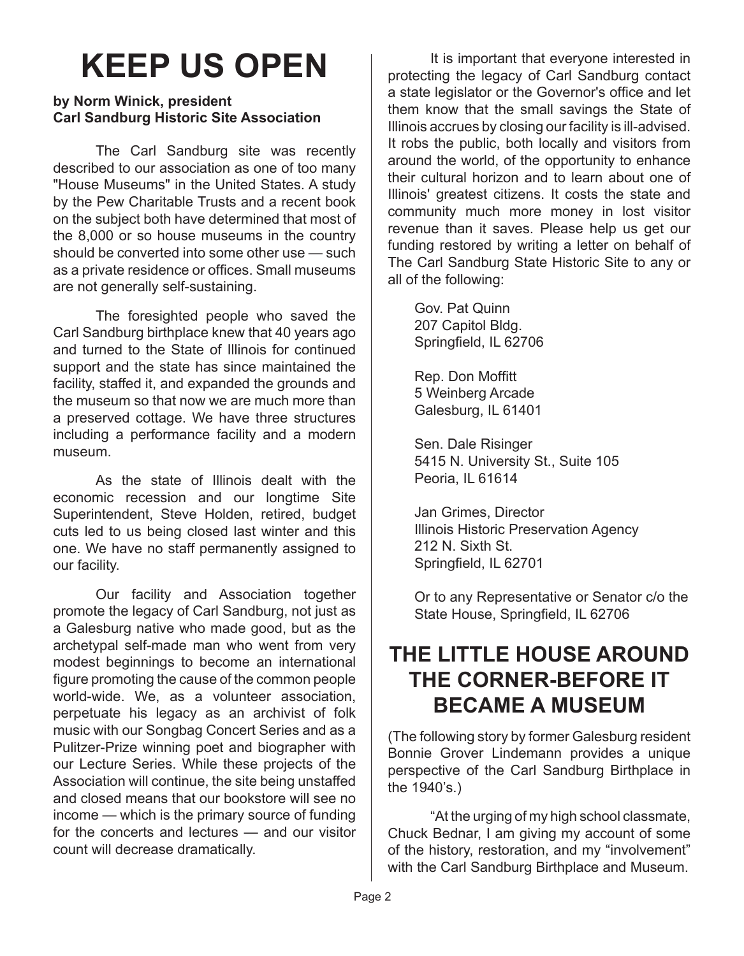## **KEEP US OPEN**

#### **by Norm Winick, president Carl Sandburg Historic Site Association**

The Carl Sandburg site was recently described to our association as one of too many "House Museums" in the United States. A study by the Pew Charitable Trusts and a recent book on the subject both have determined that most of the 8,000 or so house museums in the country should be converted into some other use — such as a private residence or offices. Small museums are not generally self-sustaining.

The foresighted people who saved the Carl Sandburg birthplace knew that 40 years ago and turned to the State of Illinois for continued support and the state has since maintained the facility, staffed it, and expanded the grounds and the museum so that now we are much more than a preserved cottage. We have three structures including a performance facility and a modern museum.

As the state of Illinois dealt with the economic recession and our longtime Site Superintendent, Steve Holden, retired, budget cuts led to us being closed last winter and this one. We have no staff permanently assigned to our facility.

Our facility and Association together promote the legacy of Carl Sandburg, not just as a Galesburg native who made good, but as the archetypal self-made man who went from very modest beginnings to become an international figure promoting the cause of the common people world-wide. We, as a volunteer association, perpetuate his legacy as an archivist of folk music with our Songbag Concert Series and as a Pulitzer-Prize winning poet and biographer with our Lecture Series. While these projects of the Association will continue, the site being unstaffed and closed means that our bookstore will see no income — which is the primary source of funding for the concerts and lectures — and our visitor count will decrease dramatically.

It is important that everyone interested in protecting the legacy of Carl Sandburg contact a state legislator or the Governor's office and let them know that the small savings the State of Illinois accrues by closing our facility is ill-advised. It robs the public, both locally and visitors from around the world, of the opportunity to enhance their cultural horizon and to learn about one of Illinois' greatest citizens. It costs the state and community much more money in lost visitor revenue than it saves. Please help us get our funding restored by writing a letter on behalf of The Carl Sandburg State Historic Site to any or all of the following:

Gov. Pat Quinn 207 Capitol Bldg. Springfield, IL 62706

Rep. Don Moffitt 5 Weinberg Arcade Galesburg, IL 61401

Sen. Dale Risinger 5415 N. University St., Suite 105 Peoria, IL 61614

Jan Grimes, Director Illinois Historic Preservation Agency 212 N. Sixth St. Springfield, IL 62701

Or to any Representative or Senator c/o the State House, Springfield, IL 62706

#### **THE LITTLE HOUSE AROUND THE CORNER-BEFORE IT BECAME A MUSEUM**

(The following story by former Galesburg resident Bonnie Grover Lindemann provides a unique perspective of the Carl Sandburg Birthplace in the 1940's.)

"At the urging of my high school classmate, Chuck Bednar, I am giving my account of some of the history, restoration, and my "involvement" with the Carl Sandburg Birthplace and Museum.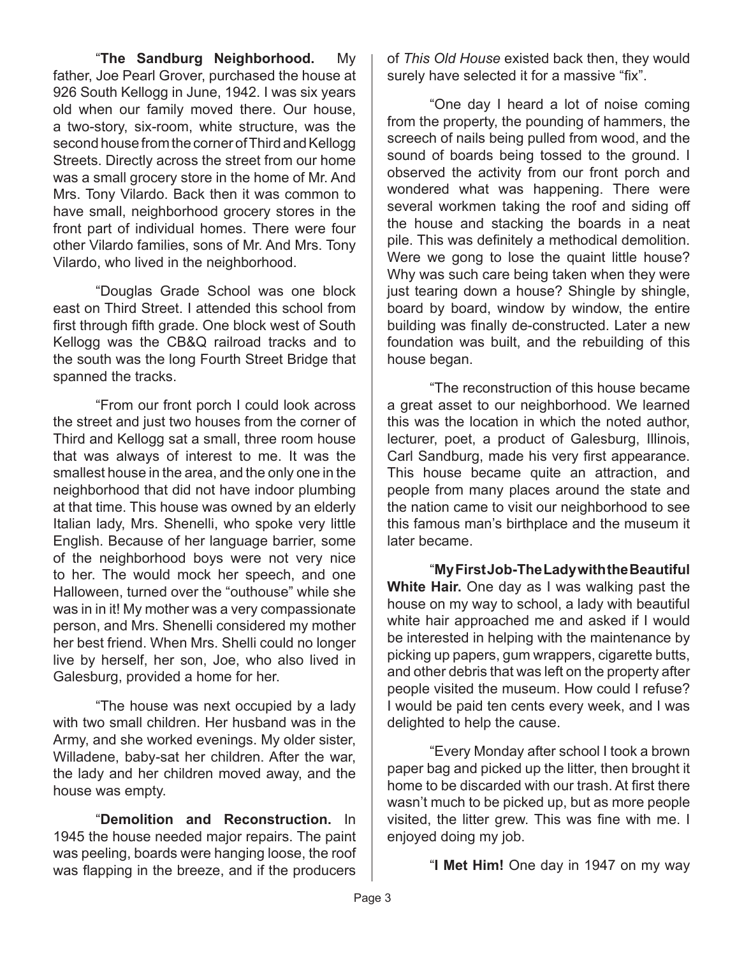"**The Sandburg Neighborhood.** My father, Joe Pearl Grover, purchased the house at 926 South Kellogg in June, 1942. I was six years old when our family moved there. Our house, a two-story, six-room, white structure, was the second house from the corner of Third and Kellogg Streets. Directly across the street from our home was a small grocery store in the home of Mr. And Mrs. Tony Vilardo. Back then it was common to have small, neighborhood grocery stores in the front part of individual homes. There were four other Vilardo families, sons of Mr. And Mrs. Tony Vilardo, who lived in the neighborhood.

"Douglas Grade School was one block east on Third Street. I attended this school from first through fifth grade. One block west of South Kellogg was the CB&Q railroad tracks and to the south was the long Fourth Street Bridge that spanned the tracks.

"From our front porch I could look across the street and just two houses from the corner of Third and Kellogg sat a small, three room house that was always of interest to me. It was the smallest house in the area, and the only one in the neighborhood that did not have indoor plumbing at that time. This house was owned by an elderly Italian lady, Mrs. Shenelli, who spoke very little English. Because of her language barrier, some of the neighborhood boys were not very nice to her. The would mock her speech, and one Halloween, turned over the "outhouse" while she was in in it! My mother was a very compassionate person, and Mrs. Shenelli considered my mother her best friend. When Mrs. Shelli could no longer live by herself, her son, Joe, who also lived in Galesburg, provided a home for her.

"The house was next occupied by a lady with two small children. Her husband was in the Army, and she worked evenings. My older sister, Willadene, baby-sat her children. After the war, the lady and her children moved away, and the house was empty.

"**Demolition and Reconstruction.** In 1945 the house needed major repairs. The paint was peeling, boards were hanging loose, the roof was flapping in the breeze, and if the producers

of *This Old House* existed back then, they would surely have selected it for a massive "fix".

"One day I heard a lot of noise coming from the property, the pounding of hammers, the screech of nails being pulled from wood, and the sound of boards being tossed to the ground. I observed the activity from our front porch and wondered what was happening. There were several workmen taking the roof and siding off the house and stacking the boards in a neat pile. This was definitely a methodical demolition. Were we gong to lose the quaint little house? Why was such care being taken when they were just tearing down a house? Shingle by shingle, board by board, window by window, the entire building was finally de-constructed. Later a new foundation was built, and the rebuilding of this house began.

"The reconstruction of this house became a great asset to our neighborhood. We learned this was the location in which the noted author, lecturer, poet, a product of Galesburg, Illinois, Carl Sandburg, made his very first appearance. This house became quite an attraction, and people from many places around the state and the nation came to visit our neighborhood to see this famous man's birthplace and the museum it later became.

"**My First Job-The Lady with the Beautiful White Hair.** One day as I was walking past the house on my way to school, a lady with beautiful white hair approached me and asked if I would be interested in helping with the maintenance by picking up papers, gum wrappers, cigarette butts, and other debris that was left on the property after people visited the museum. How could I refuse? I would be paid ten cents every week, and I was delighted to help the cause.

"Every Monday after school I took a brown paper bag and picked up the litter, then brought it home to be discarded with our trash. At first there wasn't much to be picked up, but as more people visited, the litter grew. This was fine with me. I enjoyed doing my job.

"**I Met Him!** One day in 1947 on my way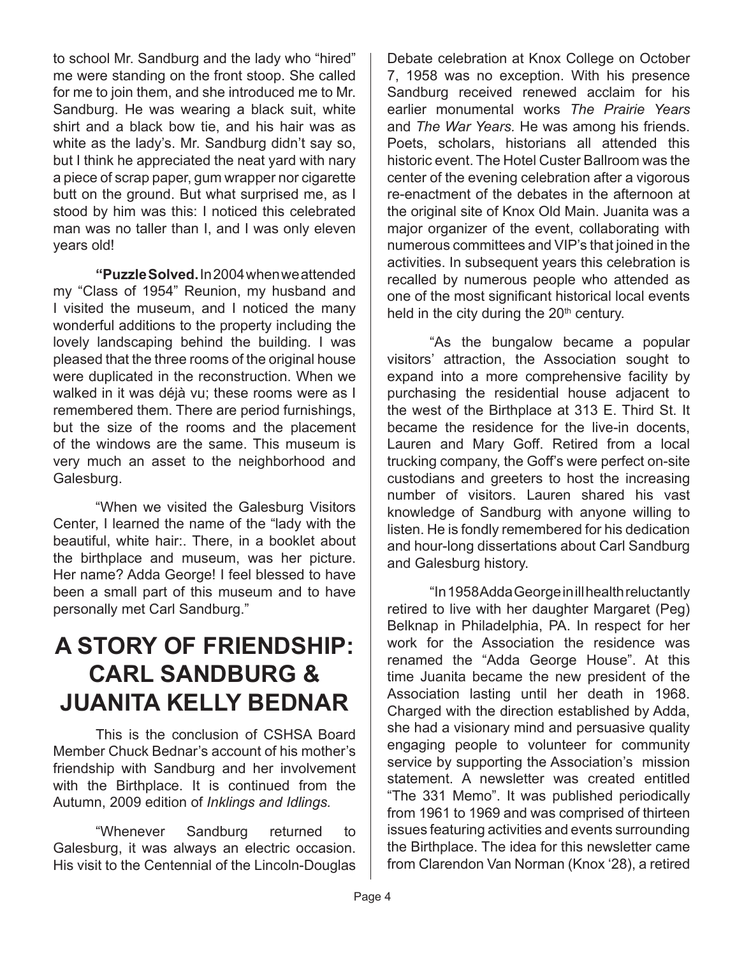to school Mr. Sandburg and the lady who "hired" me were standing on the front stoop. She called for me to join them, and she introduced me to Mr. Sandburg. He was wearing a black suit, white shirt and a black bow tie, and his hair was as white as the lady's. Mr. Sandburg didn't say so, but I think he appreciated the neat yard with nary a piece of scrap paper, gum wrapper nor cigarette butt on the ground. But what surprised me, as I stood by him was this: I noticed this celebrated man was no taller than I, and I was only eleven years old!

**"Puzzle Solved.** In 2004 when we attended my "Class of 1954" Reunion, my husband and I visited the museum, and I noticed the many wonderful additions to the property including the lovely landscaping behind the building. I was pleased that the three rooms of the original house were duplicated in the reconstruction. When we walked in it was déjà vu; these rooms were as I remembered them. There are period furnishings, but the size of the rooms and the placement of the windows are the same. This museum is very much an asset to the neighborhood and Galesburg.

"When we visited the Galesburg Visitors Center, I learned the name of the "lady with the beautiful, white hair:. There, in a booklet about the birthplace and museum, was her picture. Her name? Adda George! I feel blessed to have been a small part of this museum and to have personally met Carl Sandburg."

#### **A STORY OF FRIENDSHIP: CARL SANDBURG & JUANITA KELLY BEDNAR**

This is the conclusion of CSHSA Board Member Chuck Bednar's account of his mother's friendship with Sandburg and her involvement with the Birthplace. It is continued from the Autumn, 2009 edition of *Inklings and Idlings.*

"Whenever Sandburg returned to Galesburg, it was always an electric occasion. His visit to the Centennial of the Lincoln-Douglas

Debate celebration at Knox College on October 7, 1958 was no exception. With his presence Sandburg received renewed acclaim for his earlier monumental works *The Prairie Years*  and *The War Years.* He was among his friends. Poets, scholars, historians all attended this historic event. The Hotel Custer Ballroom was the center of the evening celebration after a vigorous re-enactment of the debates in the afternoon at the original site of Knox Old Main. Juanita was a major organizer of the event, collaborating with numerous committees and VIP's that joined in the activities. In subsequent years this celebration is recalled by numerous people who attended as one of the most significant historical local events held in the city during the  $20<sup>th</sup>$  century.

"As the bungalow became a popular visitors' attraction, the Association sought to expand into a more comprehensive facility by purchasing the residential house adjacent to the west of the Birthplace at 313 E. Third St. It became the residence for the live-in docents, Lauren and Mary Goff. Retired from a local trucking company, the Goff's were perfect on-site custodians and greeters to host the increasing number of visitors. Lauren shared his vast knowledge of Sandburg with anyone willing to listen. He is fondly remembered for his dedication and hour-long dissertations about Carl Sandburg and Galesburg history.

"In 1958 Adda George in ill health reluctantly retired to live with her daughter Margaret (Peg) Belknap in Philadelphia, PA. In respect for her work for the Association the residence was renamed the "Adda George House". At this time Juanita became the new president of the Association lasting until her death in 1968. Charged with the direction established by Adda, she had a visionary mind and persuasive quality engaging people to volunteer for community service by supporting the Association's mission statement. A newsletter was created entitled "The 331 Memo". It was published periodically from 1961 to 1969 and was comprised of thirteen issues featuring activities and events surrounding the Birthplace. The idea for this newsletter came from Clarendon Van Norman (Knox '28), a retired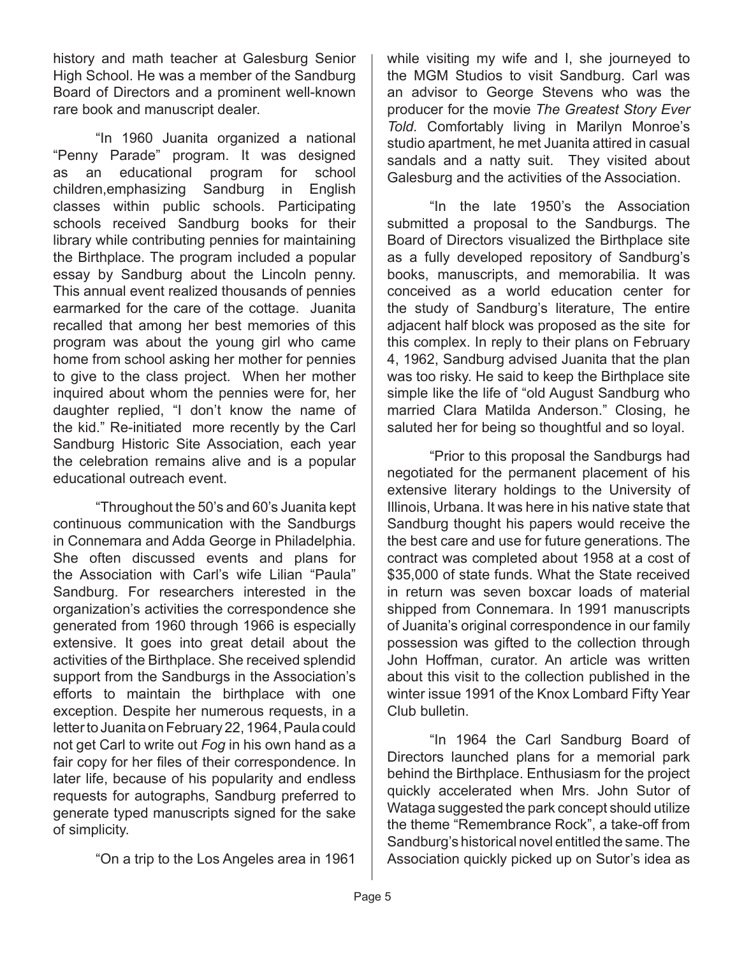history and math teacher at Galesburg Senior High School. He was a member of the Sandburg Board of Directors and a prominent well-known rare book and manuscript dealer.

"In 1960 Juanita organized a national "Penny Parade" program. It was designed as an educational program for school children,emphasizing Sandburg in English classes within public schools. Participating schools received Sandburg books for their library while contributing pennies for maintaining the Birthplace. The program included a popular essay by Sandburg about the Lincoln penny. This annual event realized thousands of pennies earmarked for the care of the cottage. Juanita recalled that among her best memories of this program was about the young girl who came home from school asking her mother for pennies to give to the class project. When her mother inquired about whom the pennies were for, her daughter replied, "I don't know the name of the kid." Re-initiated more recently by the Carl Sandburg Historic Site Association, each year the celebration remains alive and is a popular educational outreach event.

"Throughout the 50's and 60's Juanita kept continuous communication with the Sandburgs in Connemara and Adda George in Philadelphia. She often discussed events and plans for the Association with Carl's wife Lilian "Paula" Sandburg. For researchers interested in the organization's activities the correspondence she generated from 1960 through 1966 is especially extensive. It goes into great detail about the activities of the Birthplace. She received splendid support from the Sandburgs in the Association's efforts to maintain the birthplace with one exception. Despite her numerous requests, in a letter to Juanita on February 22, 1964, Paula could not get Carl to write out *Fog* in his own hand as a fair copy for her files of their correspondence. In later life, because of his popularity and endless requests for autographs, Sandburg preferred to generate typed manuscripts signed for the sake of simplicity.

"On a trip to the Los Angeles area in 1961

while visiting my wife and I, she journeyed to the MGM Studios to visit Sandburg. Carl was an advisor to George Stevens who was the producer for the movie *The Greatest Story Ever Told.* Comfortably living in Marilyn Monroe's studio apartment, he met Juanita attired in casual sandals and a natty suit. They visited about Galesburg and the activities of the Association.

"In the late 1950's the Association submitted a proposal to the Sandburgs. The Board of Directors visualized the Birthplace site as a fully developed repository of Sandburg's books, manuscripts, and memorabilia. It was conceived as a world education center for the study of Sandburg's literature, The entire adjacent half block was proposed as the site for this complex. In reply to their plans on February 4, 1962, Sandburg advised Juanita that the plan was too risky. He said to keep the Birthplace site simple like the life of "old August Sandburg who married Clara Matilda Anderson." Closing, he saluted her for being so thoughtful and so loyal.

"Prior to this proposal the Sandburgs had negotiated for the permanent placement of his extensive literary holdings to the University of Illinois, Urbana. It was here in his native state that Sandburg thought his papers would receive the the best care and use for future generations. The contract was completed about 1958 at a cost of \$35,000 of state funds. What the State received in return was seven boxcar loads of material shipped from Connemara. In 1991 manuscripts of Juanita's original correspondence in our family possession was gifted to the collection through John Hoffman, curator. An article was written about this visit to the collection published in the winter issue 1991 of the Knox Lombard Fifty Year Club bulletin.

"In 1964 the Carl Sandburg Board of Directors launched plans for a memorial park behind the Birthplace. Enthusiasm for the project quickly accelerated when Mrs. John Sutor of Wataga suggested the park concept should utilize the theme "Remembrance Rock", a take-off from Sandburg's historical novel entitled the same. The Association quickly picked up on Sutor's idea as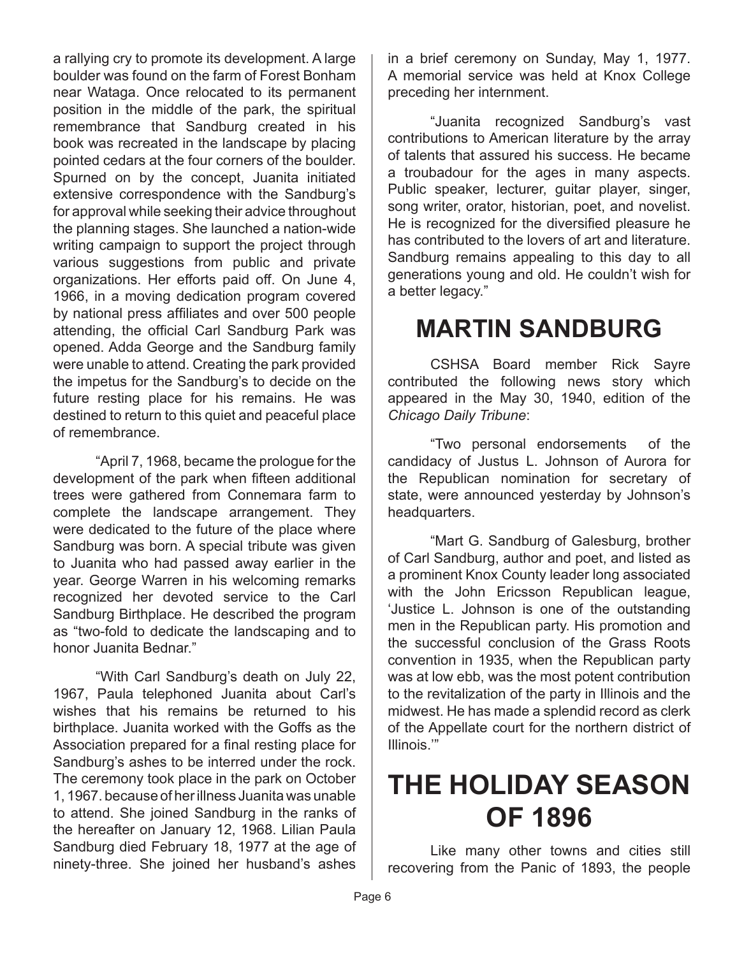a rallying cry to promote its development. A large boulder was found on the farm of Forest Bonham near Wataga. Once relocated to its permanent position in the middle of the park, the spiritual remembrance that Sandburg created in his book was recreated in the landscape by placing pointed cedars at the four corners of the boulder. Spurned on by the concept, Juanita initiated extensive correspondence with the Sandburg's for approval while seeking their advice throughout the planning stages. She launched a nation-wide writing campaign to support the project through various suggestions from public and private organizations. Her efforts paid off. On June 4, 1966, in a moving dedication program covered by national press affiliates and over 500 people attending, the official Carl Sandburg Park was opened. Adda George and the Sandburg family were unable to attend. Creating the park provided the impetus for the Sandburg's to decide on the future resting place for his remains. He was destined to return to this quiet and peaceful place of remembrance.

"April 7, 1968, became the prologue for the development of the park when fifteen additional trees were gathered from Connemara farm to complete the landscape arrangement. They were dedicated to the future of the place where Sandburg was born. A special tribute was given to Juanita who had passed away earlier in the year. George Warren in his welcoming remarks recognized her devoted service to the Carl Sandburg Birthplace. He described the program as "two-fold to dedicate the landscaping and to honor Juanita Bednar."

"With Carl Sandburg's death on July 22, 1967, Paula telephoned Juanita about Carl's wishes that his remains be returned to his birthplace. Juanita worked with the Goffs as the Association prepared for a final resting place for Sandburg's ashes to be interred under the rock. The ceremony took place in the park on October 1, 1967. because of her illness Juanita was unable to attend. She joined Sandburg in the ranks of the hereafter on January 12, 1968. Lilian Paula Sandburg died February 18, 1977 at the age of ninety-three. She joined her husband's ashes

in a brief ceremony on Sunday, May 1, 1977. A memorial service was held at Knox College preceding her internment.

"Juanita recognized Sandburg's vast contributions to American literature by the array of talents that assured his success. He became a troubadour for the ages in many aspects. Public speaker, lecturer, guitar player, singer, song writer, orator, historian, poet, and novelist. He is recognized for the diversified pleasure he has contributed to the lovers of art and literature. Sandburg remains appealing to this day to all generations young and old. He couldn't wish for a better legacy."

#### **MARTIN SANDBURG**

CSHSA Board member Rick Sayre contributed the following news story which appeared in the May 30, 1940, edition of the *Chicago Daily Tribune*:

"Two personal endorsements of the candidacy of Justus L. Johnson of Aurora for the Republican nomination for secretary of state, were announced yesterday by Johnson's headquarters.

"Mart G. Sandburg of Galesburg, brother of Carl Sandburg, author and poet, and listed as a prominent Knox County leader long associated with the John Ericsson Republican league, 'Justice L. Johnson is one of the outstanding men in the Republican party. His promotion and the successful conclusion of the Grass Roots convention in 1935, when the Republican party was at low ebb, was the most potent contribution to the revitalization of the party in Illinois and the midwest. He has made a splendid record as clerk of the Appellate court for the northern district of Illinois.'"

### **THE HOLIDAY SEASON OF 1896**

Like many other towns and cities still recovering from the Panic of 1893, the people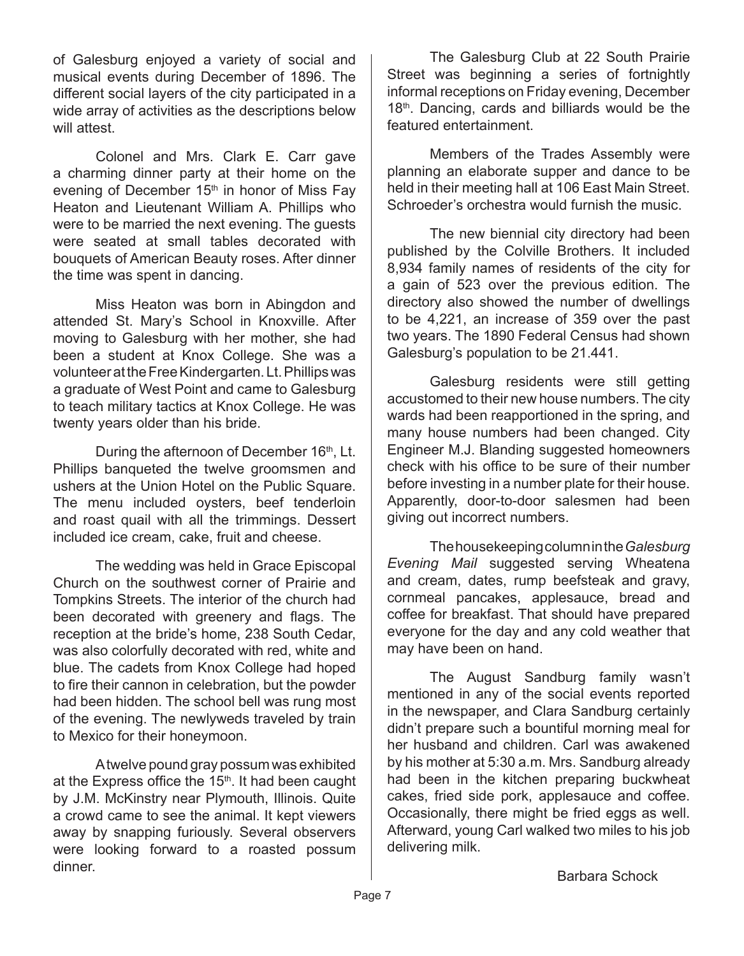of Galesburg enjoyed a variety of social and musical events during December of 1896. The different social layers of the city participated in a wide array of activities as the descriptions below will attest.

Colonel and Mrs. Clark E. Carr gave a charming dinner party at their home on the evening of December 15<sup>th</sup> in honor of Miss Fay Heaton and Lieutenant William A. Phillips who were to be married the next evening. The guests were seated at small tables decorated with bouquets of American Beauty roses. After dinner the time was spent in dancing.

Miss Heaton was born in Abingdon and attended St. Mary's School in Knoxville. After moving to Galesburg with her mother, she had been a student at Knox College. She was a volunteer at the Free Kindergarten. Lt. Phillips was a graduate of West Point and came to Galesburg to teach military tactics at Knox College. He was twenty years older than his bride.

During the afternoon of December 16<sup>th</sup>, Lt. Phillips banqueted the twelve groomsmen and ushers at the Union Hotel on the Public Square. The menu included oysters, beef tenderloin and roast quail with all the trimmings. Dessert included ice cream, cake, fruit and cheese.

The wedding was held in Grace Episcopal Church on the southwest corner of Prairie and Tompkins Streets. The interior of the church had been decorated with greenery and flags. The reception at the bride's home, 238 South Cedar, was also colorfully decorated with red, white and blue. The cadets from Knox College had hoped to fire their cannon in celebration, but the powder had been hidden. The school bell was rung most of the evening. The newlyweds traveled by train to Mexico for their honeymoon.

A twelve pound gray possum was exhibited at the Express office the  $15<sup>th</sup>$ . It had been caught by J.M. McKinstry near Plymouth, Illinois. Quite a crowd came to see the animal. It kept viewers away by snapping furiously. Several observers were looking forward to a roasted possum dinner.

The Galesburg Club at 22 South Prairie Street was beginning a series of fortnightly informal receptions on Friday evening, December 18<sup>th</sup>. Dancing, cards and billiards would be the featured entertainment.

Members of the Trades Assembly were planning an elaborate supper and dance to be held in their meeting hall at 106 East Main Street. Schroeder's orchestra would furnish the music.

The new biennial city directory had been published by the Colville Brothers. It included 8,934 family names of residents of the city for a gain of 523 over the previous edition. The directory also showed the number of dwellings to be 4,221, an increase of 359 over the past two years. The 1890 Federal Census had shown Galesburg's population to be 21.441.

Galesburg residents were still getting accustomed to their new house numbers. The city wards had been reapportioned in the spring, and many house numbers had been changed. City Engineer M.J. Blanding suggested homeowners check with his office to be sure of their number before investing in a number plate for their house. Apparently, door-to-door salesmen had been giving out incorrect numbers.

The housekeeping column in the *Galesburg Evening Mail* suggested serving Wheatena and cream, dates, rump beefsteak and gravy, cornmeal pancakes, applesauce, bread and coffee for breakfast. That should have prepared everyone for the day and any cold weather that may have been on hand.

The August Sandburg family wasn't mentioned in any of the social events reported in the newspaper, and Clara Sandburg certainly didn't prepare such a bountiful morning meal for her husband and children. Carl was awakened by his mother at 5:30 a.m. Mrs. Sandburg already had been in the kitchen preparing buckwheat cakes, fried side pork, applesauce and coffee. Occasionally, there might be fried eggs as well. Afterward, young Carl walked two miles to his job delivering milk.